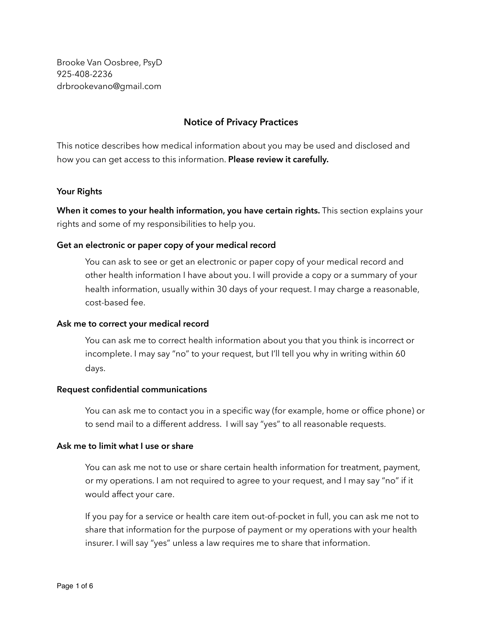Brooke Van Oosbree, PsyD 925-408-2236 drbrookevano@gmail.com

# **Notice of Privacy Practices**

This notice describes how medical information about you may be used and disclosed and how you can get access to this information. **Please review it carefully.**

### **Your Rights**

**When it comes to your health information, you have certain rights.** This section explains your rights and some of my responsibilities to help you.

# **Get an electronic or paper copy of your medical record**

 You can ask to see or get an electronic or paper copy of your medical record and other health information I have about you. I will provide a copy or a summary of your health information, usually within 30 days of your request. I may charge a reasonable, cost-based fee.

#### **Ask me to correct your medical record**

You can ask me to correct health information about you that you think is incorrect or incomplete. I may say "no" to your request, but I'll tell you why in writing within 60 days.

### **Request confidential communications**

 You can ask me to contact you in a specific way (for example, home or office phone) or to send mail to a different address. I will say "yes" to all reasonable requests.

### **Ask me to limit what I use or share**

 You can ask me not to use or share certain health information for treatment, payment, or my operations. I am not required to agree to your request, and I may say "no" if it would affect your care.

 If you pay for a service or health care item out-of-pocket in full, you can ask me not to share that information for the purpose of payment or my operations with your health insurer. I will say "yes" unless a law requires me to share that information.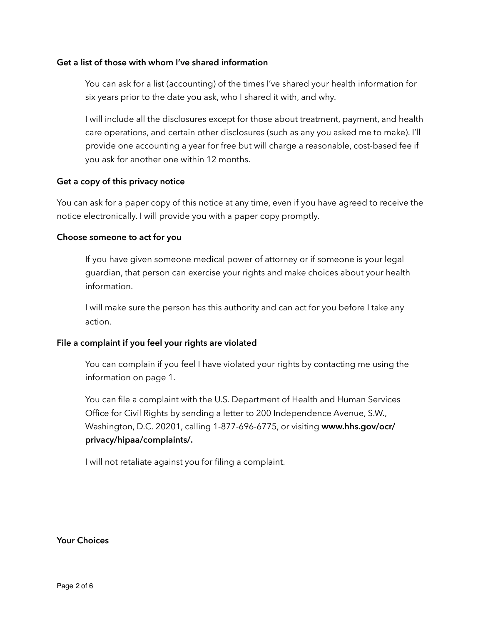### **Get a list of those with whom I've shared information**

 You can ask for a list (accounting) of the times I've shared your health information for six years prior to the date you ask, who I shared it with, and why.

 I will include all the disclosures except for those about treatment, payment, and health care operations, and certain other disclosures (such as any you asked me to make). I'll provide one accounting a year for free but will charge a reasonable, cost-based fee if you ask for another one within 12 months.

### **Get a copy of this privacy notice**

You can ask for a paper copy of this notice at any time, even if you have agreed to receive the notice electronically. I will provide you with a paper copy promptly.

### **Choose someone to act for you**

 If you have given someone medical power of attorney or if someone is your legal guardian, that person can exercise your rights and make choices about your health information.

 I will make sure the person has this authority and can act for you before I take any action.

# **File a complaint if you feel your rights are violated**

 You can complain if you feel I have violated your rights by contacting me using the information on page 1.

 You can file a complaint with the U.S. Department of Health and Human Services Office for Civil Rights by sending a letter to 200 Independence Avenue, S.W., Washington, D.C. 20201, calling 1-877-696-6775, or visiting **www.hhs.gov/ocr/ privacy/hipaa/complaints/.**

I will not retaliate against you for filing a complaint.

# **Your Choices**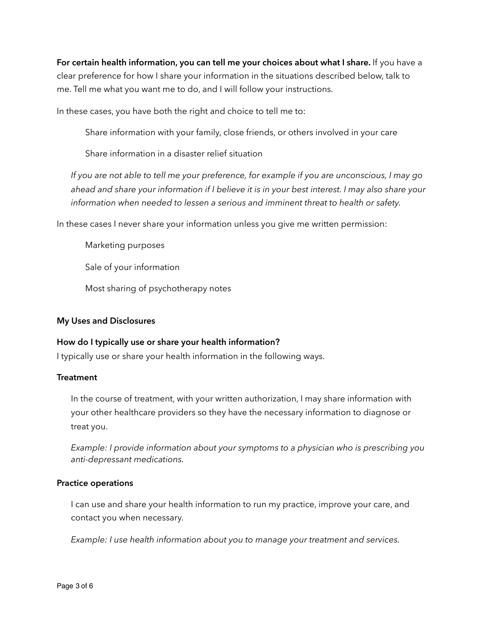**For certain health information, you can tell me your choices about what I share.** If you have a clear preference for how I share your information in the situations described below, talk to me. Tell me what you want me to do, and I will follow your instructions.

In these cases, you have both the right and choice to tell me to:

Share information with your family, close friends, or others involved in your care

Share information in a disaster relief situation

*If you are not able to tell me your preference, for example if you are unconscious, I may go ahead and share your information if I believe it is in your best interest. I may also share your information when needed to lessen a serious and imminent threat to health or safety.* 

In these cases I never share your information unless you give me written permission:

Marketing purposes

Sale of your information

Most sharing of psychotherapy notes

# **My Uses and Disclosures**

# **How do I typically use or share your health information?**

I typically use or share your health information in the following ways.

# **Treatment**

In the course of treatment, with your written authorization, I may share information with your other healthcare providers so they have the necessary information to diagnose or treat you.

*Example: I provide information about your symptoms to a physician who is prescribing you anti-depressant medications.*

# **Practice operations**

I can use and share your health information to run my practice, improve your care, and contact you when necessary.

*Example: I use health information about you to manage your treatment and services.*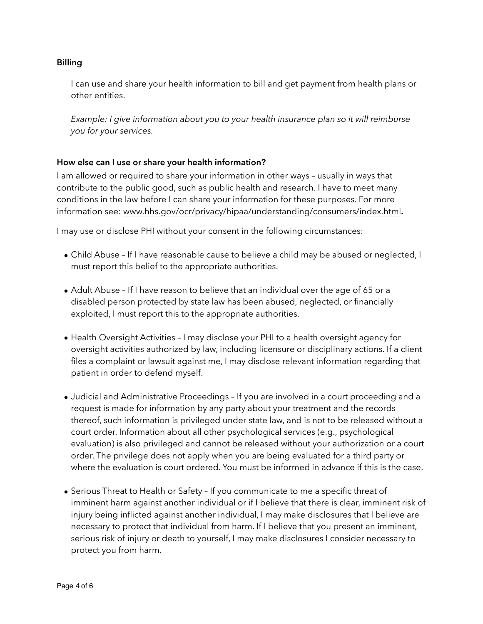# **Billing**

I can use and share your health information to bill and get payment from health plans or other entities.

*Example: I give information about you to your health insurance plan so it will reimburse you for your services.* 

# **How else can I use or share your health information?**

I am allowed or required to share your information in other ways – usually in ways that contribute to the public good, such as public health and research. I have to meet many conditions in the law before I can share your information for these purposes. For more information see: [www.hhs.gov/ocr/privacy/hipaa/understanding/consumers/index.html](http://www.hhs.gov/ocr/privacy/hipaa/understanding/consumers/index.html)**.** 

I may use or disclose PHI without your consent in the following circumstances:

- Child Abuse If I have reasonable cause to believe a child may be abused or neglected, I must report this belief to the appropriate authorities.
- Adult Abuse If I have reason to believe that an individual over the age of 65 or a disabled person protected by state law has been abused, neglected, or financially exploited, I must report this to the appropriate authorities.
- Health Oversight Activities I may disclose your PHI to a health oversight agency for oversight activities authorized by law, including licensure or disciplinary actions. If a client files a complaint or lawsuit against me, I may disclose relevant information regarding that patient in order to defend myself.
- Judicial and Administrative Proceedings If you are involved in a court proceeding and a request is made for information by any party about your treatment and the records thereof, such information is privileged under state law, and is not to be released without a court order. Information about all other psychological services (e.g., psychological evaluation) is also privileged and cannot be released without your authorization or a court order. The privilege does not apply when you are being evaluated for a third party or where the evaluation is court ordered. You must be informed in advance if this is the case.
- Serious Threat to Health or Safety If you communicate to me a specific threat of imminent harm against another individual or if I believe that there is clear, imminent risk of injury being inflicted against another individual, I may make disclosures that I believe are necessary to protect that individual from harm. If I believe that you present an imminent, serious risk of injury or death to yourself, I may make disclosures I consider necessary to protect you from harm.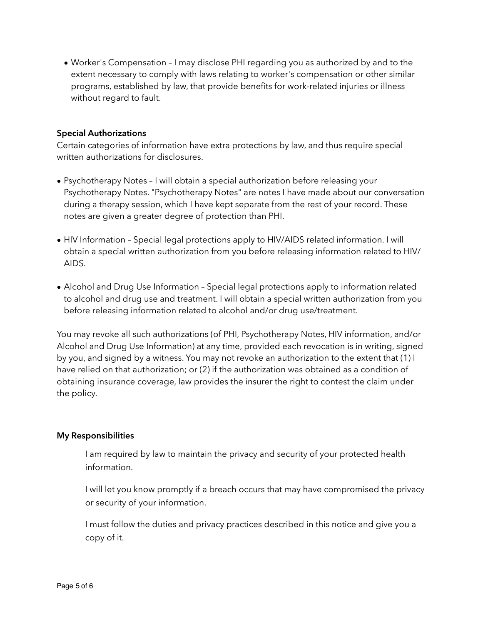• Worker's Compensation – I may disclose PHI regarding you as authorized by and to the extent necessary to comply with laws relating to worker's compensation or other similar programs, established by law, that provide benefits for work-related injuries or illness without regard to fault.

# **Special Authorizations**

Certain categories of information have extra protections by law, and thus require special written authorizations for disclosures.

- Psychotherapy Notes I will obtain a special authorization before releasing your Psychotherapy Notes. "Psychotherapy Notes" are notes I have made about our conversation during a therapy session, which I have kept separate from the rest of your record. These notes are given a greater degree of protection than PHI.
- HIV Information Special legal protections apply to HIV/AIDS related information. I will obtain a special written authorization from you before releasing information related to HIV/ AIDS.
- Alcohol and Drug Use Information Special legal protections apply to information related to alcohol and drug use and treatment. I will obtain a special written authorization from you before releasing information related to alcohol and/or drug use/treatment.

You may revoke all such authorizations (of PHI, Psychotherapy Notes, HIV information, and/or Alcohol and Drug Use Information) at any time, provided each revocation is in writing, signed by you, and signed by a witness. You may not revoke an authorization to the extent that (1) I have relied on that authorization; or (2) if the authorization was obtained as a condition of obtaining insurance coverage, law provides the insurer the right to contest the claim under the policy.

# **My Responsibilities**

 I am required by law to maintain the privacy and security of your protected health information.

 I will let you know promptly if a breach occurs that may have compromised the privacy or security of your information.

 I must follow the duties and privacy practices described in this notice and give you a copy of it.